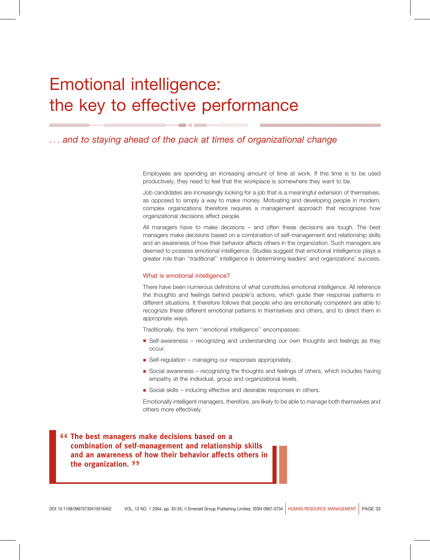# **Emotional intelligence:** the key to effective performance

# ... and to staying ahead of the pack at times of organizational change

Employees are spending an increasing amount of time at work. If this time is to be used productively, they need to feel that the workplace is somewhere they want to be.

Job candidates are increasingly looking for a job that is a meaningful extension of themselves, as opposed to simply a way to make money. Motivating and developing people in modern, complex organizations therefore requires a management approach that recognizes how organizational decisions affect people.

All managers have to make decisions - and often these decisions are tough. The best managers make decisions based on a combination of self-management and relationship skills and an awareness of how their behavior affects others in the organization. Such managers are deemed to possess emotional intelligence. Studies suggest that emotional intelligence plays a greater role than "traditional" intelligence in determining leaders' and organizations' success.

#### What is emotional intelligence?

There have been numerous definitions of what constitutes emotional intelligence. All reference the thoughts and feelings behind people's actions, which guide their response patterns in different situations. It therefore follows that people who are emotionally competent are able to recognize these different emotional patterns in themselves and others, and to direct them in appropriate ways.

Traditionally, the term "emotional intelligence" encompasses:

- Self-awareness recognizing and understanding our own thoughts and feelings as they occur.
- Self-regulation managing our responses appropriately.
- Social awareness recognizing the thoughts and feelings of others, which includes having empathy at the individual, group and organizational levels.
- Social skills inducing effective and desirable responses in others.

Emotionally intelligent managers, therefore, are likely to be able to manage both themselves and others more effectively.

66 The best managers make decisions based on a combination of self-management and relationship skills and an awareness of how their behavior affects others in the organization. 99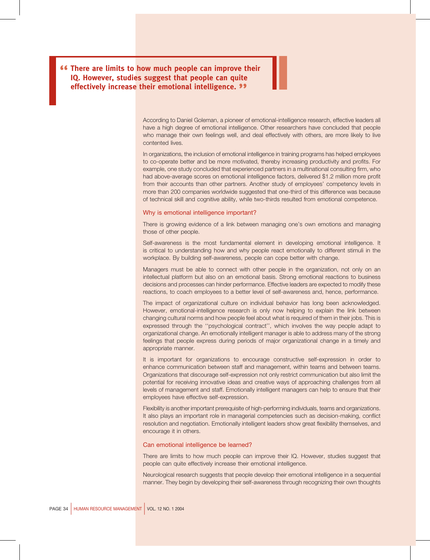## 66 There are limits to how much people can improve their **IO. However, studies suggest that people can quite** effectively increase their emotional intelligence. 99

According to Daniel Goleman, a pioneer of emotional-intelligence research, effective leaders all have a high degree of emotional intelligence. Other researchers have concluded that people who manage their own feelings well, and deal effectively with others, are more likely to live contented lives.

In organizations, the inclusion of emotional intelligence in training programs has helped employees to co-operate better and be more motivated, thereby increasing productivity and profits. For example, one study concluded that experienced partners in a multinational consulting firm, who had above-average scores on emotional intelligence factors, delivered \$1.2 million more profit from their accounts than other partners. Another study of employees' competency levels in more than 200 companies worldwide suggested that one-third of this difference was because of technical skill and cognitive ability, while two-thirds resulted from emotional competence.

#### Why is emotional intelligence important?

There is growing evidence of a link between managing one's own emotions and managing those of other people.

Self-awareness is the most fundamental element in developing emotional intelligence. It is critical to understanding how and why people react emotionally to different stimuli in the workplace. By building self-awareness, people can cope better with change.

Managers must be able to connect with other people in the organization, not only on an intellectual platform but also on an emotional basis. Strong emotional reactions to business decisions and processes can hinder performance. Effective leaders are expected to modify these reactions, to coach employees to a better level of self-awareness and, hence, performance.

The impact of organizational culture on individual behavior has long been acknowledged. However, emotional-intelligence research is only now helping to explain the link between changing cultural norms and how people feel about what is required of them in their jobs. This is expressed through the "psychological contract", which involves the way people adapt to organizational change. An emotionally intelligent manager is able to address many of the strong feelings that people express during periods of major organizational change in a timely and appropriate manner.

It is important for organizations to encourage constructive self-expression in order to enhance communication between staff and management, within teams and between teams. Organizations that discourage self-expression not only restrict communication but also limit the potential for receiving innovative ideas and creative ways of approaching challenges from all levels of management and staff. Emotionally intelligent managers can help to ensure that their employees have effective self-expression.

Flexibility is another important prerequisite of high-performing individuals, teams and organizations. It also plays an important role in managerial competencies such as decision-making, conflict resolution and negotiation. Emotionally intelligent leaders show great flexibility themselves, and encourage it in others.

#### Can emotional intelligence be learned?

There are limits to how much people can improve their IQ. However, studies suggest that people can quite effectively increase their emotional intelligence.

Neurological research suggests that people develop their emotional intelligence in a sequential manner. They begin by developing their self-awareness through recognizing their own thoughts